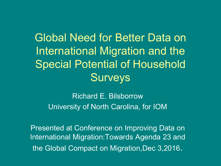Global Need for Better Data on International Migration and the Special Potential of Household **Surveys** 

Richard E. Bilsborrow University of North Carolina, for IOM

Presented at Conference on Improving Data on International Migration:Towards Agenda 23 and the Global Compact on Migration, Dec 3,2016.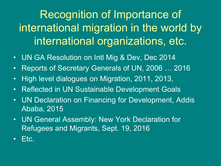Recognition of Importance of international migration in the world by international organizations, etc.

- UN GA Resolution on Intl Mig & Dev, Dec 2014
- Reports of Secretary Generals of UN, 2006 … 2016
- High level dialogues on Migration, 2011, 2013,
- Reflected in UN Sustainable Development Goals
- UN Declaration on Financing for Development, Addis Ababa, 2015
- UN General Assembly: New York Declaration for Refugees and Migrants, Sept. 19, 2016
- Etc.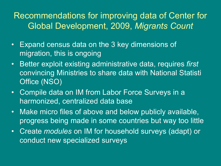#### Recommendations for improving data of Center for Global Development, 2009, *Migrants Count*

- Expand census data on the 3 key dimensions of migration, this is ongoing
- Better exploit existing administrative data, requires *first* convincing Ministries to share data with National Statisti Office (NSO)
- Compile data on IM from Labor Force Surveys in a harmonized, centralized data base
- Make micro files of above and below publicly available, progress being made in some countries but way too little
- Create *modules* on IM for household surveys (adapt) or conduct new specialized surveys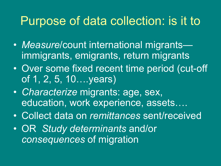#### Purpose of data collection: is it to

- *Measure*/count international migrants immigrants, emigrants, return migrants
- Over some fixed recent time period (cut-off of 1, 2, 5, 10….years)
- *Characterize* migrants: age, sex, education, work experience, assets....
- Collect data on *remittances* sent/received
- OR *Study determinants* and/or *consequences* of migration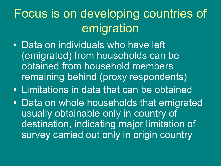Focus is on developing countries of emigration

- Data on individuals who have left (emigrated) from households can be obtained from household members remaining behind (proxy respondents)
- Limitations in data that can be obtained
- Data on whole households that emigrated usually obtainable only in country of destination, indicating major limitation of survey carried out only in origin country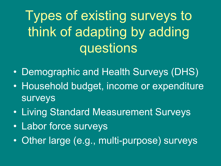Types of existing surveys to think of adapting by adding questions

- Demographic and Health Surveys (DHS)
- Household budget, income or expenditure surveys
- Living Standard Measurement Surveys
- Labor force surveys
- Other large (e.g., multi-purpose) surveys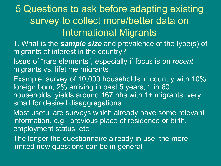#### 5 Questions to ask before adapting existing survey to collect more/better data on International Migrants

- 1. What is the *sample size* and prevalence of the type(s) of migrants of interest in the country?
- Issue of "rare elements", especially if focus is on *recent*  migrants vs. lifetime migrants
- Example, survey of 10,000 households in country with 10% foreign born, 2% arriving in past 5 years, 1 in 60 households, yields around 167 hhs with 1+ migrants, very small for desired disaggregations
- Most useful are surveys which already have some relevant information, e.g., previous place of residence or birth, employment status, etc.
- The longer the questionnaire already in use, the more limited new questions can be in general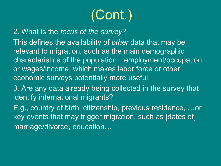# (Cont.)

2. What is the *focus of the survey*?

This defines the availability of *other* data that may be relevant to migration, such as the main demographic characteristics of the population…employment/occupation or wages/income, which makes labor force or other economic surveys potentially more useful.

3. Are any data already being collected in the survey that identify international migrants?

E.g., country of birth, citizenship, previous residence, …or key events that may trigger migration, such as [dates of] marriage/divorce, education…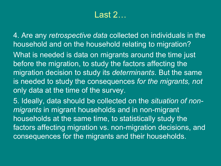#### Last 2…

4. Are any *retrospective data* collected on individuals in the household and on the household relating to migration? What is needed is data on migrants around the time just before the migration, to study the factors affecting the migration decision to study its *determinants*. But the same is needed to study the consequences *for the migrants, not* 

only data at the time of the survey.

5. Ideally, data should be collected on the *situation of nonmigrants* in migrant households and in non-migrant households at the same time, to statistically study the factors affecting migration vs. non-migration decisions, and consequences for the migrants and their households.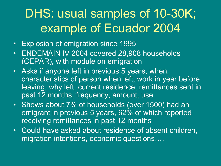### DHS: usual samples of 10-30K; example of Ecuador 2004

- Explosion of emigration since 1995
- ENDEMAIN IV 2004 covered 28,908 households (CEPAR), with module on emigration
- Asks if anyone left in previous 5 years, when, characteristics of person when left, work in year before leaving, why left, current residence, remittances sent in past 12 months, frequency, amount, use
- Shows about 7% of households (over 1500) had an emigrant in previous 5 years, 62% of which reported receiving remittances in past 12 months
- Could have asked about residence of absent children, migration intentions, economic questions….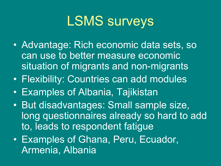## LSMS surveys

- Advantage: Rich economic data sets, so can use to better measure economic situation of migrants and non-migrants
- Flexibility: Countries can add modules
- Examples of Albania, Tajikistan
- But disadvantages: Small sample size, long questionnaires already so hard to add to, leads to respondent fatigue
- Examples of Ghana, Peru, Ecuador, Armenia, Albania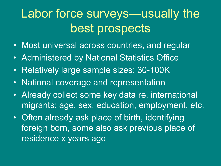### Labor force surveys—usually the best prospects

- Most universal across countries, and regular
- Administered by National Statistics Office
- Relatively large sample sizes: 30-100K
- National coverage and representation
- Already collect some key data re. international migrants: age, sex, education, employment, etc.
- Often already ask place of birth, identifying foreign born, some also ask previous place of residence x years ago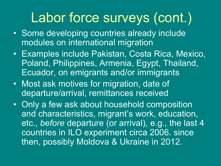## Labor force surveys (cont.)

- Some developing countries already include modules on international migration
- Examples include Pakistan, Costa Rica, Mexico, Poland, Philippines, Armenia, Egypt, Thailand, Ecuador, on emigrants and/or immigrants
- Most ask motives for migration, date of departure/arrival, remittances received
- Only a few ask about household composition and characteristics, migrant's work, education, etc., *before* departure (or arrival), e.g., the last 4 countries in ILO experiment circa 2006. since then, possibly Moldova & Ukraine in 2012.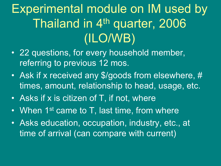## Experimental module on IM used by Thailand in 4<sup>th</sup> quarter, 2006 (ILO/WB)

- 22 questions, for every household member, referring to previous 12 mos.
- Ask if x received any \$/goods from elsewhere, # times, amount, relationship to head, usage, etc.
- Asks if x is citizen of T, if not, where
- When 1<sup>st</sup> came to T, last time, from where
- Asks education, occupation, industry, etc., at time of arrival (can compare with current)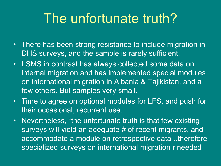## The unfortunate truth?

- There has been strong resistance to include migration in DHS surveys, and the sample is rarely sufficient.
- LSMS in contrast has always collected some data on internal migration and has implemented special modules on international migration in Albania & Tajikistan, and a few others. But samples very small.
- Time to agree on optional modules for LFS, and push for their occasional, recurrent use.
- Nevertheless, "the unfortunate truth is that few existing surveys will yield an adequate # of recent migrants, and accommodate a module on retrospective data"..therefore specialized surveys on international migration r needed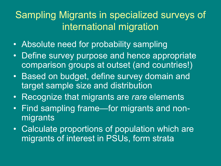#### Sampling Migrants in specialized surveys of international migration

- Absolute need for probability sampling
- Define survey purpose and hence appropriate comparison groups at outset (and countries!)
- Based on budget, define survey domain and target sample size and distribution
- Recognize that migrants are *rare* elements
- Find sampling frame—for migrants and nonmigrants
- Calculate proportions of population which are migrants of interest in PSUs, form strata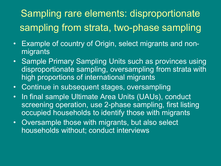#### Sampling rare elements: disproportionate sampling from strata, two-phase sampling

- Example of country of Origin, select migrants and nonmigrants
- Sample Primary Sampling Units such as provinces using disproportionate sampling, oversampling from strata with high proportions of international migrants
- Continue in subsequent stages, oversampling
- In final sample Ultimate Area Units (UAUs), conduct screening operation, use 2-phase sampling, first listing occupied households to identify those with migrants
- Oversample those with migrants, but also select households without; conduct interviews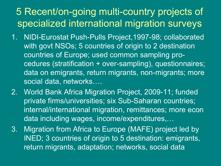#### 5 Recent/on-going multi-country projects of specialized international migration surveys

- 1. NIDI-Eurostat Push-Pulls Project,1997-98; collaborated with govt NSOs; 5 countries of origin to 2 destination countries of Europe; used common sampling procedures (stratification + over-sampling), questionnaires; data on emigrants, return migrants, non-migrants; more social data, networks….
- 2. World Bank Africa Migration Project, 2009-11; funded private firms/universities; six Sub-Saharan countries; internal/international migration, remittances; more econ data including wages, income/expenditures,…
- 3. Migration from Africa to Europe (MAFE) project led by INED; 3 countries of origin to 5 destination: emigrants, return migrants, adaptation; networks, social data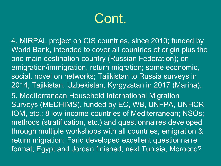## Cont.

4. MIRPAL project on CIS countries, since 2010; funded by World Bank, intended to cover all countries of origin plus the one main destination country (Russian Federation); on emigration/immigration, return migration; some economic, social, novel on networks; Tajikistan to Russia surveys in 2014; Tajikistan, Uzbekistan, Kyrgyzstan in 2017 (Marina). 5. Mediterranean Household International Migration Surveys (MEDHIMS), funded by EC, WB, UNFPA, UNHCR IOM, etc.; 8 low-income countries of Mediterranean; NSOs; methods (stratification, etc.) and questionnaires developed through multiple workshops with all countries; emigration & return migration; Farid developed excellent questionnaire format; Egypt and Jordan finished; next Tunisia, Morocco?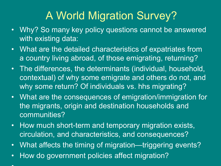#### A World Migration Survey?

- Why? So many key policy questions cannot be answered with existing data:
- What are the detailed characteristics of expatriates from a country living abroad, of those emigrating, returning?
- The differences, the determinants (individual, household, contextual) of why some emigrate and others do not, and why some return? Of individuals vs. hhs migrating?
- What are the consequences of emigration/immigration for the migrants, origin and destination households and communities?
- How much short-term and temporary migration exists, circulation, and characteristics, and consequences?
- What affects the timing of migration—triggering events?
- How do government policies affect migration?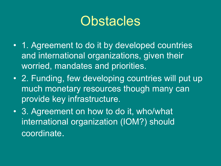### **Obstacles**

- 1. Agreement to do it by developed countries and international organizations, given their worried, mandates and priorities.
- 2. Funding, few developing countries will put up much monetary resources though many can provide key infrastructure.
- 3. Agreement on how to do it, who/what international organization (IOM?) should coordinate.